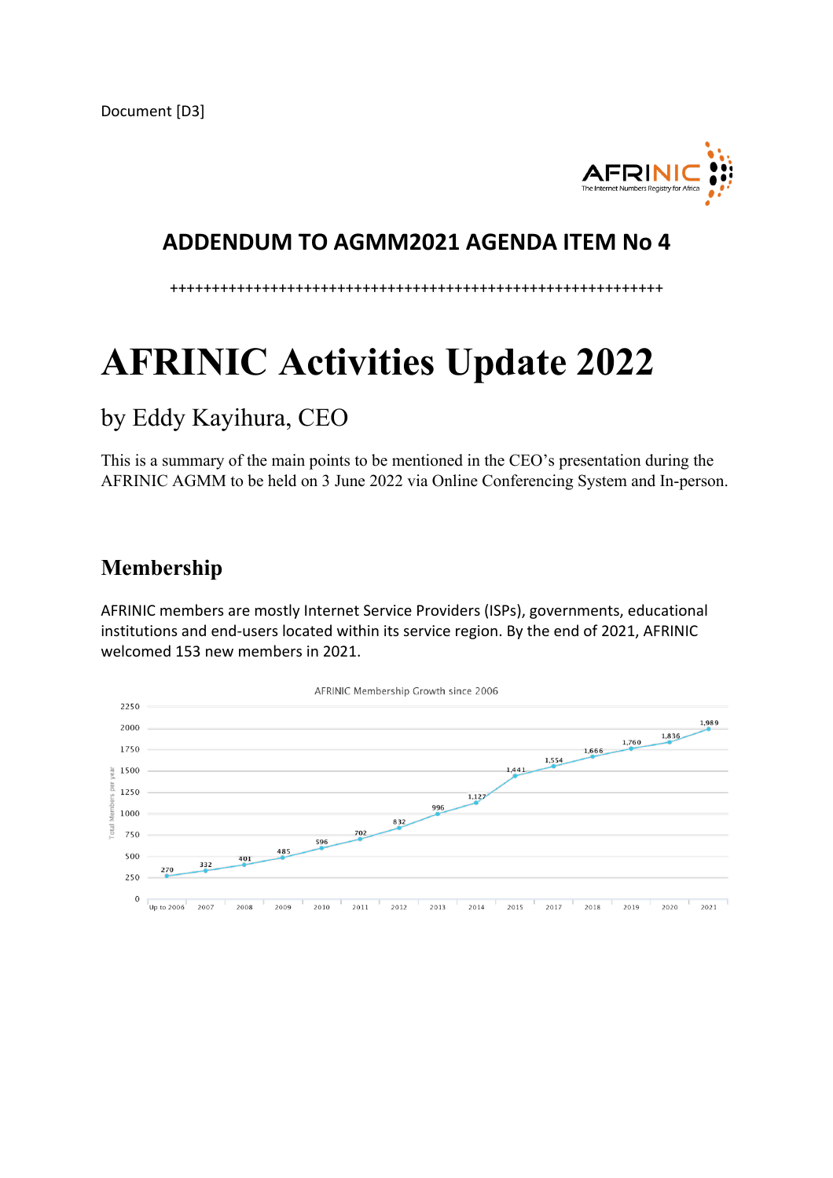

### **ADDENDUM TO AGMM2021 AGENDA ITEM No 4**

+++++++++++++++++++++++++++++++++++++++++++++++++++++++++++

# **AFRINIC Activities Update 2022**

## by Eddy Kayihura, CEO

This is a summary of the main points to be mentioned in the CEO's presentation during the AFRINIC AGMM to be held on 3 June 2022 via Online Conferencing System and In-person.

## **Membership**

AFRINIC members are mostly Internet Service Providers (ISPs), governments, educational institutions and end-users located within its service region. By the end of 2021, AFRINIC welcomed 153 new members in 2021.

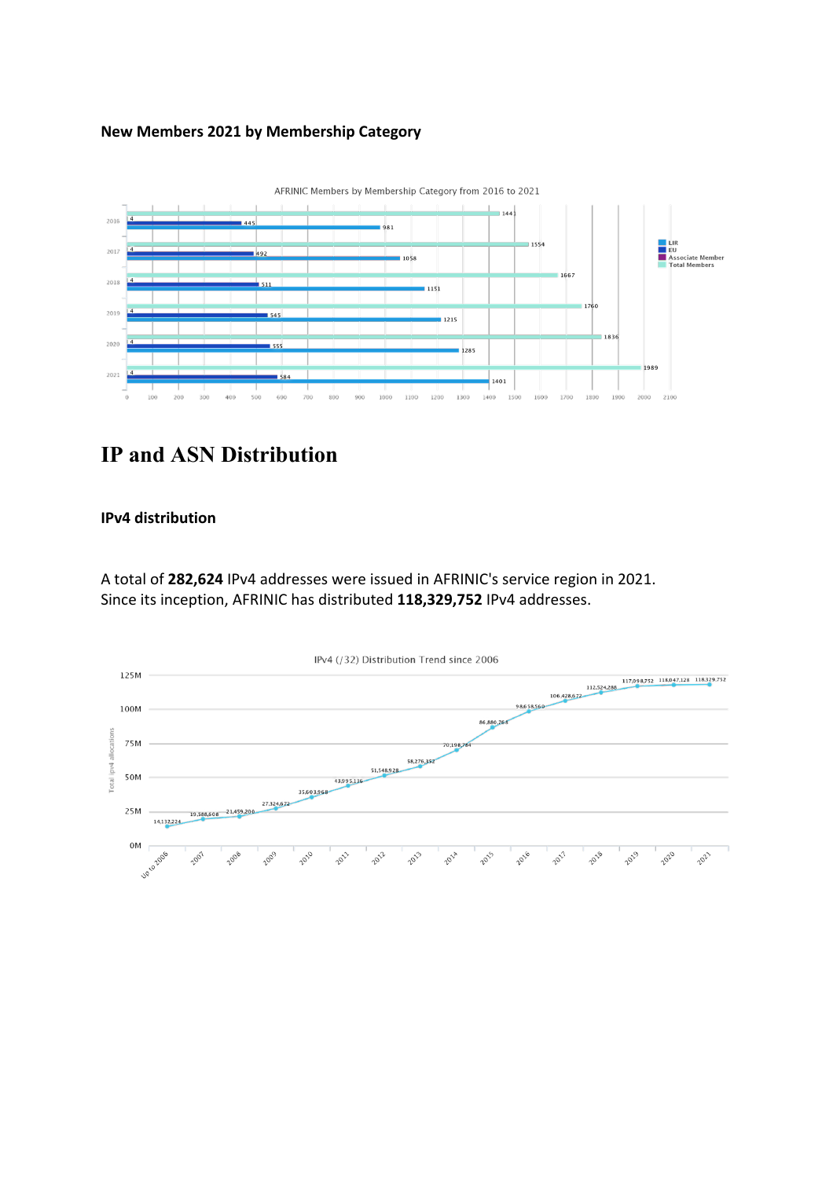#### **New Members 2021 by Membership Category**



## **IP and ASN Distribution**

#### **IPv4 distribution**

A total of **282,624** IPv4 addresses were issued in AFRINIC's service region in 2021. Since its inception, AFRINIC has distributed **118,329,752** IPv4 addresses.

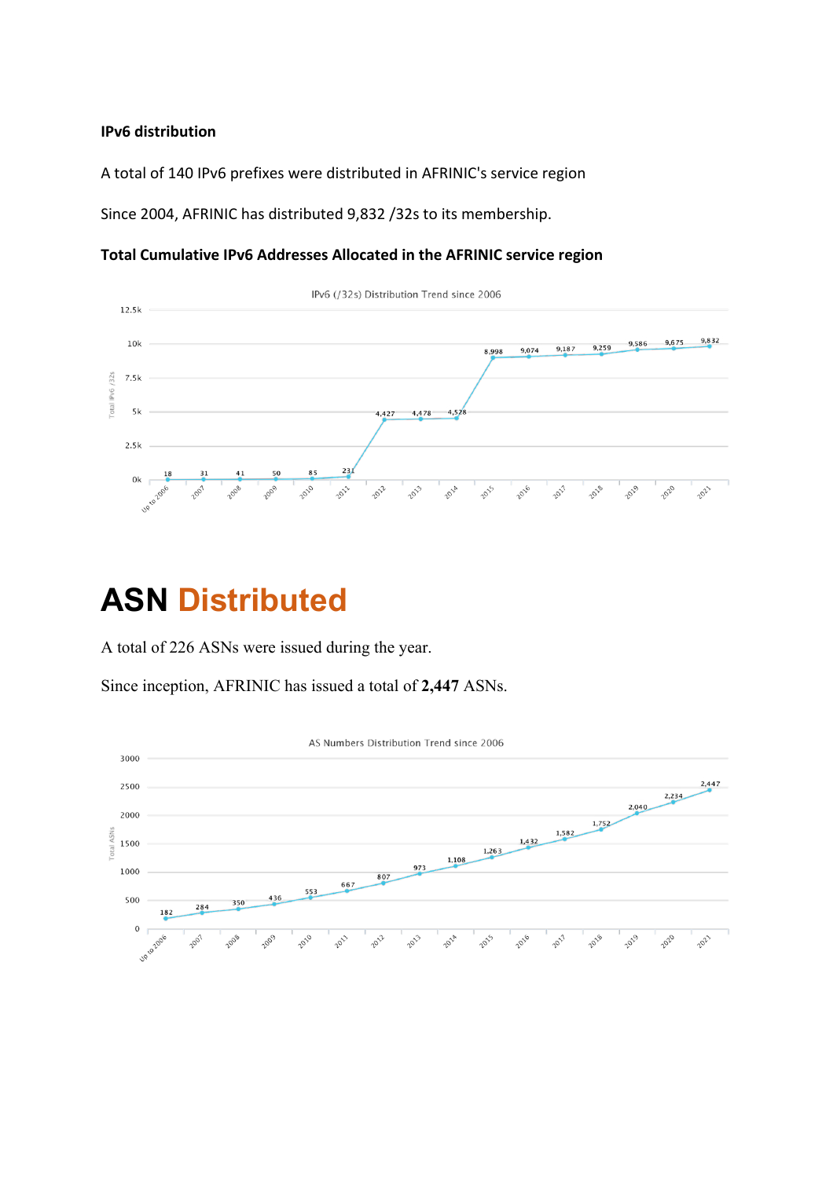#### **IPv6 distribution**

A total of 140 IPv6 prefixes were distributed in AFRINIC's service region

Since 2004, AFRINIC has distributed 9,832 /32s to its membership.

#### **Total Cumulative IPv6 Addresses Allocated in the AFRINIC service region**



## **ASN Distributed**

A total of 226 ASNs were issued during the year.

Since inception, AFRINIC has issued a total of **2,447** ASNs.